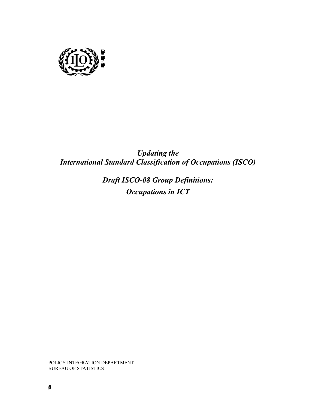

*Updating the International Standard Classification of Occupations (ISCO)* 

> *Draft ISCO-08 Group Definitions: Occupations in ICT*

POLICY INTEGRATION DEPARTMENT BUREAU OF STATISTICS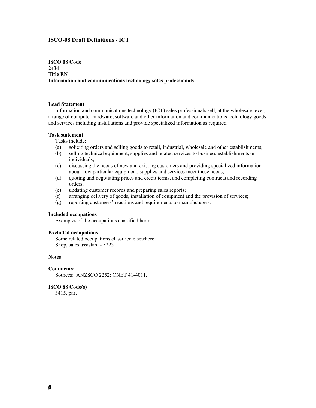# **ISCO-08 Draft Definitions - ICT**

# **ISCO 08 Code 2434 Title EN Information and communications technology sales professionals**

## **Lead Statement**

 Information and communications technology (ICT) sales professionals sell, at the wholesale level, a range of computer hardware, software and other information and communications technology goods and services including installations and provide specialized information as required.

#### **Task statement**

Tasks include:

- (a) soliciting orders and selling goods to retail, industrial, wholesale and other establishments;
- (b) selling technical equipment, supplies and related services to business establishments or individuals;
- (c) discussing the needs of new and existing customers and providing specialized information about how particular equipment, supplies and services meet those needs;
- (d) quoting and negotiating prices and credit terms, and completing contracts and recording orders;
- (e) updating customer records and preparing sales reports;
- (f) arranging delivery of goods, installation of equipment and the provision of services;
- (g) reporting customers' reactions and requirements to manufacturers.

# **Included occupations**

Examples of the occupations classified here:

## **Excluded occupations**

 Some related occupations classified elsewhere: Shop, sales assistant - 5223

### **Notes**

#### **Comments:**

Sources: ANZSCO 2252; ONET 41-4011.

## **ISCO 88 Code(s)**

3415, part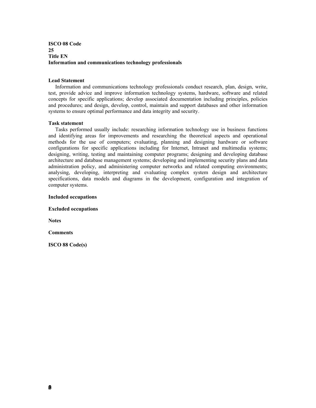**ISCO 08 Code 25 Title EN Information and communications technology professionals** 

### **Lead Statement**

 Information and communications technology professionals conduct research, plan, design, write, test, provide advice and improve information technology systems, hardware, software and related concepts for specific applications; develop associated documentation including principles, policies and procedures; and design, develop, control, maintain and support databases and other information systems to ensure optimal performance and data integrity and security.

### **Task statement**

 Tasks performed usually include: researching information technology use in business functions and identifying areas for improvements and researching the theoretical aspects and operational methods for the use of computers; evaluating, planning and designing hardware or software configurations for specific applications including for Internet, Intranet and multimedia systems; designing, writing, testing and maintaining computer programs; designing and developing database architecture and database management systems; developing and implementing security plans and data administration policy, and administering computer networks and related computing environments; analysing, developing, interpreting and evaluating complex system design and architecture specifications, data models and diagrams in the development, configuration and integration of computer systems.

**Included occupations** 

**Excluded occupations** 

**Notes** 

**Comments**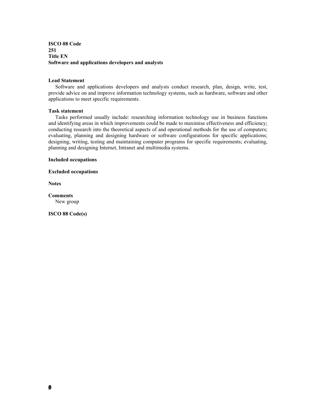# **ISCO 08 Code 251 Title EN Software and applications developers and analysts**

# **Lead Statement**

 Software and applications developers and analysts conduct research, plan, design, write, test, provide advice on and improve information technology systems, such as hardware, software and other applications to meet specific requirements.

## **Task statement**

 Tasks performed usually include: researching information technology use in business functions and identifying areas in which improvements could be made to maximise effectiveness and efficiency; conducting research into the theoretical aspects of and operational methods for the use of computers; evaluating, planning and designing hardware or software configurations for specific applications; designing, writing, testing and maintaining computer programs for specific requirements; evaluating, planning and designing Internet, Intranet and multimedia systems.

### **Included occupations**

**Excluded occupations** 

**Notes** 

**Comments**  New group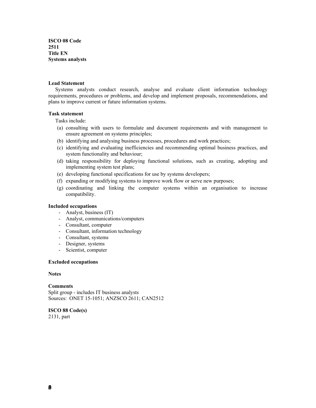**ISCO 08 Code 2511 Title EN Systems analysts** 

## **Lead Statement**

 Systems analysts conduct research, analyse and evaluate client information technology requirements, procedures or problems, and develop and implement proposals, recommendations, and plans to improve current or future information systems.

# **Task statement**

Tasks include:

- (a) consulting with users to formulate and document requirements and with management to ensure agreement on systems principles;
- (b) identifying and analysing business processes, procedures and work practices;
- (c) identifying and evaluating inefficiencies and recommending optimal business practices, and system functionality and behaviour;
- (d) taking responsibility for deploying functional solutions, such as creating, adopting and implementing system test plans;
- (e) developing functional specifications for use by systems developers;
- (f) expanding or modifying systems to improve work flow or serve new purposes;
- (g) coordinating and linking the computer systems within an organisation to increase compatibility.

# **Included occupations**

- Analyst, business (IT)
- Analyst, communications/computers
- Consultant, computer
- Consultant, information technology
- Consultant, systems
- Designer, systems
- Scientist, computer

### **Excluded occupations**

## **Notes**

**Comments**  Split group - includes IT business analysts Sources: ONET 15-1051; ANZSCO 2611; CAN2512

**ISCO 88 Code(s)**  2131, part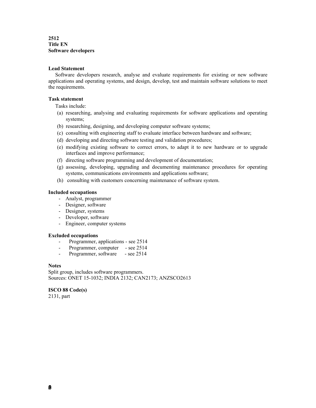**2512 Title EN Software developers** 

# **Lead Statement**

 Software developers research, analyse and evaluate requirements for existing or new software applications and operating systems, and design, develop, test and maintain software solutions to meet the requirements.

## **Task statement**

Tasks include:

- (a) researching, analysing and evaluating requirements for software applications and operating systems;
- (b) researching, designing, and developing computer software systems;
- (c) consulting with engineering staff to evaluate interface between hardware and software;
- (d) developing and directing software testing and validation procedures;
- (e) modifying existing software to correct errors, to adapt it to new hardware or to upgrade interfaces and improve performance;
- (f) directing software programming and development of documentation;
- (g) assessing, developing, upgrading and documenting maintenance procedures for operating systems, communications environments and applications software;
- (h) consulting with customers concerning maintenance of software system.

# **Included occupations**

- Analyst, programmer
- Designer, software
- Designer, systems
- Developer, software
- Engineer, computer systems

### **Excluded occupations**

- Programmer, applications see 2514
- Programmer, computer see 2514
- Programmer, software see 2514

# **Notes**

Split group, includes software programmers. Sources: ONET 15-1032; INDIA 2132; CAN2173; ANZSCO2613

# **ISCO 88 Code(s)**

2131, part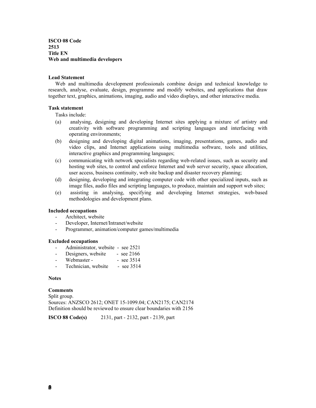**ISCO 08 Code 2513 Title EN Web and multimedia developers** 

## **Lead Statement**

 Web and multimedia development professionals combine design and technical knowledge to research, analyse, evaluate, design, programme and modify websites, and applications that draw together text, graphics, animations, imaging, audio and video displays, and other interactive media.

## **Task statement**

Tasks include:

- (a) analysing, designing and developing Internet sites applying a mixture of artistry and creativity with software programming and scripting languages and interfacing with operating environments;
- (b) designing and developing digital animations, imaging, presentations, games, audio and video clips, and Internet applications using multimedia software, tools and utilities, interactive graphics and programming languages;
- (c) communicating with network specialists regarding web-related issues, such as security and hosting web sites, to control and enforce Internet and web server security, space allocation, user access, business continuity, web site backup and disaster recovery planning;
- (d) designing, developing and integrating computer code with other specialized inputs, such as image files, audio files and scripting languages, to produce, maintain and support web sites;
- (e) assisting in analysing, specifying and developing Internet strategies, web-based methodologies and development plans.

# **Included occupations**

- Architect, website
- Developer, Internet/Intranet/website
- Programmer, animation/computer games/multimedia

### **Excluded occupations**

- Administrator, website see 2521
- Designers, website see 2166
- Webmaster - see 3514
- Technician, website see 3514

### **Notes**

# **Comments**

Split group. Sources: ANZSCO 2612; ONET 15-1099.04; CAN2175; CAN2174 Definition should be reviewed to ensure clear boundaries with 2156

**ISCO 88 Code(s)** 2131, part - 2132, part - 2139, part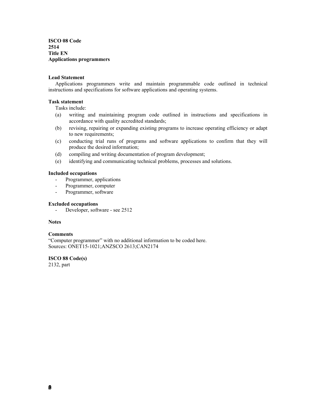**ISCO 08 Code 2514 Title EN Applications programmers** 

# **Lead Statement**

 Applications programmers write and maintain programmable code outlined in technical instructions and specifications for software applications and operating systems.

# **Task statement**

Tasks include:

- (a) writing and maintaining program code outlined in instructions and specifications in accordance with quality accredited standards;
- (b) revising, repairing or expanding existing programs to increase operating efficiency or adapt to new requirements;
- (c) conducting trial runs of programs and software applications to confirm that they will produce the desired information;
- (d) compiling and writing documentation of program development;
- (e) identifying and communicating technical problems, processes and solutions.

## **Included occupations**

- Programmer, applications
- Programmer, computer
- Programmer, software

# **Excluded occupations**

- Developer, software - see 2512

### **Notes**

### **Comments**

"Computer programmer" with no additional information to be coded here. Sources: ONET15-1021;ANZSCO 2613;CAN2174

# **ISCO 88 Code(s)**

2132, part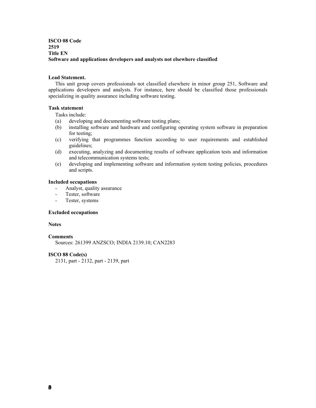# **ISCO 08 Code 2519 Title EN Software and applications developers and analysts not elsewhere classified**

# **Lead Statement.**

 This unit group covers professionals not classified elsewhere in minor group 251, Software and applications developers and analysts. For instance, here should be classified those professionals specializing in quality assurance including software testing.

## **Task statement**

Tasks include:

- (a) developing and documenting software testing plans;
- (b) installing software and hardware and configuring operating system software in preparation for testing;
- (c) verifying that programmes function according to user requirements and established guidelines;
- (d) executing, analyzing and documenting results of software application tests and information and telecommunication systems tests;
- (e) developing and implementing software and information system testing policies, procedures and scripts.

## **Included occupations**

- Analyst, quality assurance
- Tester, software
- Tester, systems

## **Excluded occupations**

## **Notes**

### **Comments**

Sources: 261399 ANZSCO; INDIA 2139.10; CAN2283

# **ISCO 88 Code(s)**

2131, part - 2132, part - 2139, part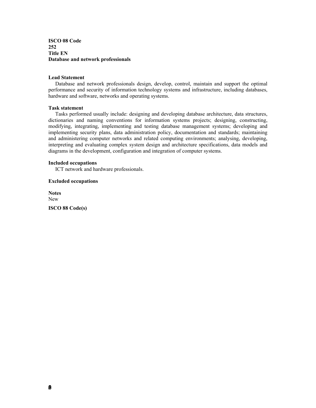**ISCO 08 Code 252 Title EN Database and network professionals** 

### **Lead Statement**

 Database and network professionals design, develop, control, maintain and support the optimal performance and security of information technology systems and infrastructure, including databases, hardware and software, networks and operating systems.

### **Task statement**

 Tasks performed usually include: designing and developing database architecture, data structures, dictionaries and naming conventions for information systems projects; designing, constructing, modifying, integrating, implementing and testing database management systems; developing and implementing security plans, data administration policy, documentation and standards; maintaining and administering computer networks and related computing environments; analysing, developing, interpreting and evaluating complex system design and architecture specifications, data models and diagrams in the development, configuration and integration of computer systems.

#### **Included occupations**

ICT network and hardware professionals.

# **Excluded occupations**

**Notes**  New **ISCO 88 Code(s)**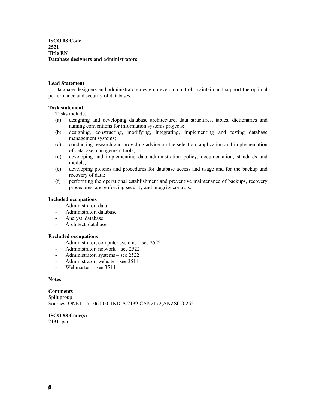**ISCO 08 Code 2521 Title EN Database designers and administrators** 

## **Lead Statement**

 Database designers and administrators design, develop, control, maintain and support the optimal performance and security of databases.

## **Task statement**

Tasks include:

- (a) designing and developing database architecture, data structures, tables, dictionaries and naming conventions for information systems projects;
- (b) designing, constructing, modifying, integrating, implementing and testing database management systems;
- (c) conducting research and providing advice on the selection, application and implementation of database management tools;
- (d) developing and implementing data administration policy, documentation, standards and models;
- (e) developing policies and procedures for database access and usage and for the backup and recovery of data;
- (f) performing the operational establishment and preventive maintenance of backups, recovery procedures, and enforcing security and integrity controls.

## **Included occupations**

- Administrator, data
- Administrator, database
- Analyst, database
- Architect, database

## **Excluded occupations**

- Administrator, computer systems see 2522
- Administrator, network see 2522
- Administrator, systems see 2522
- Administrator, website see 3514
- Webmaster see 3514

### **Notes**

**Comments**  Split group Sources: ONET 15-1061.00; INDIA 2139;CAN2172;ANZSCO 2621

**ISCO 88 Code(s)**  2131, part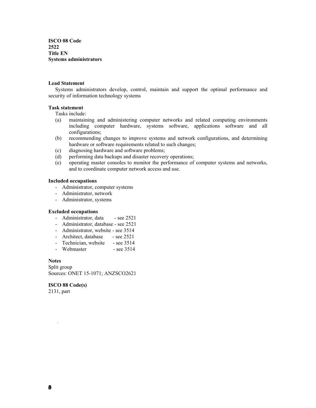**ISCO 08 Code 2522 Title EN Systems administrators** 

# **Lead Statement**

 Systems administrators develop, control, maintain and support the optimal performance and security of information technology systems

## **Task statement**

Tasks include:

- (a) maintaining and administering computer networks and related computing environments including computer hardware, systems software, applications software and all configurations;
- (b) recommending changes to improve systems and network configurations, and determining hardware or software requirements related to such changes;
- (c) diagnosing hardware and software problems;
- (d) performing data backups and disaster recovery operations;
- (e) operating master consoles to monitor the performance of computer systems and networks, and to coordinate computer network access and use.

### **Included occupations**

- Administrator, computer systems
- Administrator, network
- Administrator, systems

# **Excluded occupations**

- Administrator, data see 2521
- Administrator, database see 2521
- Administrator, website see 3514
- Architect, database see 2521
- Technician, website see 3514
- Webmaster see 3514

# **Notes**

Split group Sources: ONET 15-1071; ANZSCO2621

# **ISCO 88 Code(s)**

2131, part

.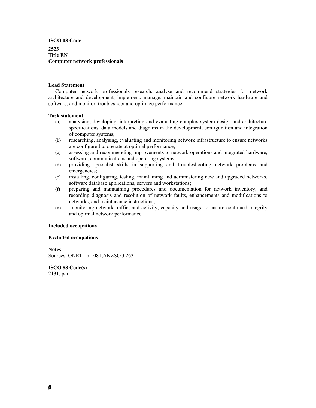**ISCO 08 Code 2523 Title EN Computer network professionals** 

# **Lead Statement**

 Computer network professionals research, analyse and recommend strategies for network architecture and development, implement, manage, maintain and configure network hardware and software, and monitor, troubleshoot and optimize performance.

### **Task statement**

- (a) analysing, developing, interpreting and evaluating complex system design and architecture specifications, data models and diagrams in the development, configuration and integration of computer systems;
- (b) researching, analysing, evaluating and monitoring network infrastructure to ensure networks are configured to operate at optimal performance;
- (c) assessing and recommending improvements to network operations and integrated hardware, software, communications and operating systems;
- (d) providing specialist skills in supporting and troubleshooting network problems and emergencies;
- (e) installing, configuring, testing, maintaining and administering new and upgraded networks, software database applications, servers and workstations;
- (f) preparing and maintaining procedures and documentation for network inventory, and recording diagnosis and resolution of network faults, enhancements and modifications to networks, and maintenance instructions;
- (g) monitoring network traffic, and activity, capacity and usage to ensure continued integrity and optimal network performance.

### **Included occupations**

## **Excluded occupations**

**Notes** 

Sources: ONET 15-1081;ANZSCO 2631

**ISCO 88 Code(s)**  2131, part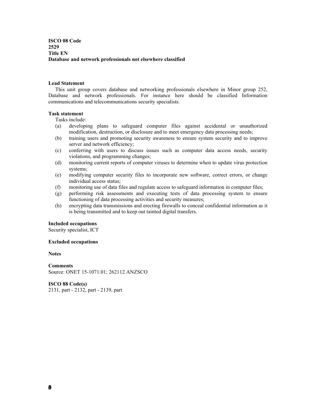**ISCO 08 Code 2529 Title EN Database and network professionals not elsewhere classified** 

## **Lead Statement**

 This unit group covers database and networking professionals elsewhere in Minor group 252, Database and network professionals. For instance here should be classified Information communications and telecommunications security specialists.

# **Task statement**

Tasks include:

- (a) developing plans to safeguard computer files against accidental or unauthorized modification, destruction, or disclosure and to meet emergency data processing needs;
- (b) training users and promoting security awareness to ensure system security and to improve server and network efficiency;
- (c) conferring with users to discuss issues such as computer data access needs, security violations, and programming changes;
- (d) monitoring current reports of computer viruses to determine when to update virus protection systems;
- (e) modifying computer security files to incorporate new software, correct errors, or change individual access status;
- (f) monitoring use of data files and regulate access to safeguard information in computer files;
- (g) performing risk assessments and executing tests of data processing system to ensure functioning of data processing activities and security measures;
- (h) encrypting data transmissions and erecting firewalls to conceal confidential information as it is being transmitted and to keep out tainted digital transfers.

# **Included occupations**

Security specialist, ICT

### **Excluded occupations**

**Notes** 

**Comments**  Source: ONET 15-1071.01; 262112 ANZSCO

**ISCO 88 Code(s)**  2131, part - 2132, part - 2139, part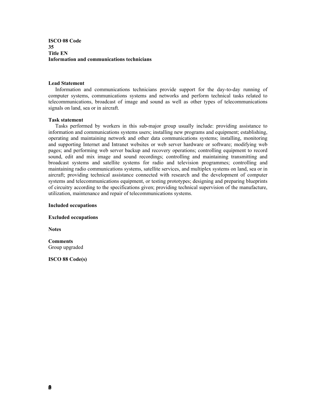**ISCO 08 Code 35 Title EN Information and communications technicians** 

## **Lead Statement**

 Information and communications technicians provide support for the day-to-day running of computer systems, communications systems and networks and perform technical tasks related to telecommunications, broadcast of image and sound as well as other types of telecommunications signals on land, sea or in aircraft.

#### **Task statement**

 Tasks performed by workers in this sub-major group usually include: providing assistance to information and communications systems users; installing new programs and equipment; establishing, operating and maintaining network and other data communications systems; installing, monitoring and supporting Internet and Intranet websites or web server hardware or software; modifying web pages; and performing web server backup and recovery operations; controlling equipment to record sound, edit and mix image and sound recordings; controlling and maintaining transmitting and broadcast systems and satellite systems for radio and television programmes; controlling and maintaining radio communications systems, satellite services, and multiplex systems on land, sea or in aircraft; providing technical assistance connected with research and the development of computer systems and telecommunications equipment, or testing prototypes; designing and preparing blueprints of circuitry according to the specifications given; providing technical supervision of the manufacture, utilization, maintenance and repair of telecommunications systems.

#### **Included occupations**

**Excluded occupations** 

**Notes** 

## **Comments**  Group upgraded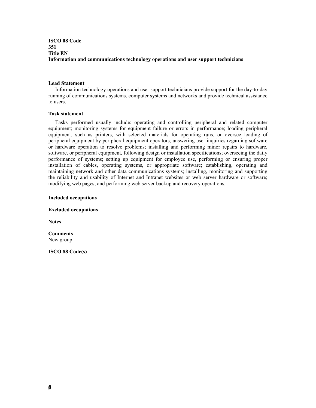# **ISCO 08 Code 351 Title EN Information and communications technology operations and user support technicians**

## **Lead Statement**

 Information technology operations and user support technicians provide support for the day-to-day running of communications systems, computer systems and networks and provide technical assistance to users.

# **Task statement**

 Tasks performed usually include: operating and controlling peripheral and related computer equipment; monitoring systems for equipment failure or errors in performance; loading peripheral equipment, such as printers, with selected materials for operating runs, or oversee loading of peripheral equipment by peripheral equipment operators; answering user inquiries regarding software or hardware operation to resolve problems; installing and performing minor repairs to hardware, software, or peripheral equipment, following design or installation specifications; overseeing the daily performance of systems; setting up equipment for employee use, performing or ensuring proper installation of cables, operating systems, or appropriate software; establishing, operating and maintaining network and other data communications systems; installing, monitoring and supporting the reliability and usability of Internet and Intranet websites or web server hardware or software; modifying web pages; and performing web server backup and recovery operations.

## **Included occupations**

### **Excluded occupations**

**Notes** 

**Comments**  New group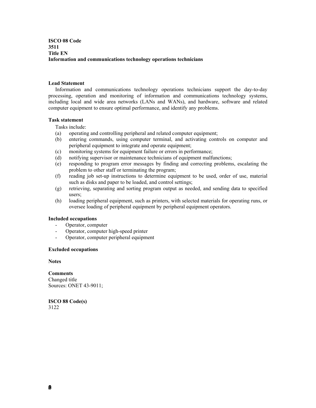# **ISCO 08 Code 3511 Title EN Information and communications technology operations technicians**

# **Lead Statement**

 Information and communications technology operations technicians support the day-to-day processing, operation and monitoring of information and communications technology systems, including local and wide area networks (LANs and WANs), and hardware, software and related computer equipment to ensure optimal performance, and identify any problems.

### **Task statement**

Tasks include:

- (a) operating and controlling peripheral and related computer equipment;
- (b) entering commands, using computer terminal, and activating controls on computer and peripheral equipment to integrate and operate equipment;
- (c) monitoring systems for equipment failure or errors in performance;
- (d) notifying supervisor or maintenance technicians of equipment malfunctions;
- (e) responding to program error messages by finding and correcting problems, escalating the problem to other staff or terminating the program;
- (f) reading job set-up instructions to determine equipment to be used, order of use, material such as disks and paper to be loaded, and control settings;
- (g) retrieving, separating and sorting program output as needed, and sending data to specified users;
- (h) loading peripheral equipment, such as printers, with selected materials for operating runs, or oversee loading of peripheral equipment by peripheral equipment operators.

## **Included occupations**

- Operator, computer
- Operator, computer high-speed printer
- Operator, computer peripheral equipment

## **Excluded occupations**

**Notes** 

**Comments**  Changed title Sources: ONET 43-9011;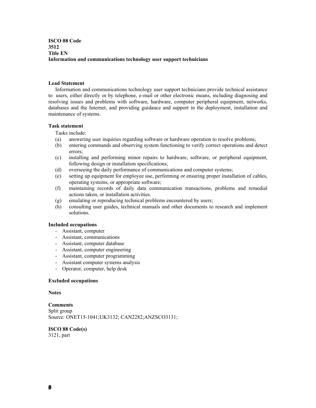**ISCO 08 Code 3512 Title EN Information and communications technology user support technicians** 

# **Lead Statement**

 Information and communications technology user support technicians provide technical assistance to users, either directly or by telephone, e-mail or other electronic means, including diagnosing and resolving issues and problems with software, hardware, computer peripheral equipment, networks, databases and the Internet, and providing guidance and support in the deployment, installation and maintenance of systems.

## **Task statement**

Tasks include:

- (a) answering user inquiries regarding software or hardware operation to resolve problems;
- (b) entering commands and observing system functioning to verify correct operations and detect errors;
- (c) installing and performing minor repairs to hardware, software, or peripheral equipment, following design or installation specifications;
- (d) overseeing the daily performance of communications and computer systems;
- (e) setting up equipment for employee use, performing or ensuring proper installation of cables, operating systems, or appropriate software;
- (f) maintaining records of daily data communication transactions, problems and remedial actions taken, or installation activities.
- (g) emulating or reproducing technical problems encountered by users;
- (h) consulting user guides, technical manuals and other documents to research and implement solutions.

### **Included occupations**

- Assistant, computer
- Assistant, communications
- Assistant, computer database
- Assistant, computer engineering
- Assistant, computer programming
- Assistant computer systems analysis
- Operator, computer, help desk

## **Excluded occupations**

### **Notes**

**Comments**  Split group Source: ONET15-1041;UK3132; CAN2282;ANZSCO3131;

**ISCO 88 Code(s)**  3121, part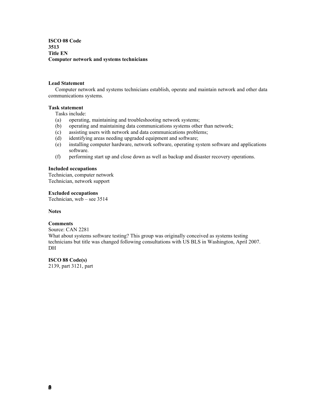**ISCO 08 Code 3513 Title EN Computer network and systems technicians** 

## **Lead Statement**

 Computer network and systems technicians establish, operate and maintain network and other data communications systems.

### **Task statement**

Tasks include:

- (a) operating, maintaining and troubleshooting network systems;
- (b) operating and maintaining data communications systems other than network;
- (c) assisting users with network and data communications problems;
- (d) identifying areas needing upgraded equipment and software;
- (e) installing computer hardware, network software, operating system software and applications software.
- (f) performing start up and close down as well as backup and disaster recovery operations.

# **Included occupations**

Technician, computer network Technician, network support

## **Excluded occupations**

Technician, web – see 3514

## **Notes**

# **Comments**

Source: CAN 2281 What about systems software testing? This group was originally conceived as systems testing technicians but title was changed following consultations with US BLS in Washington, April 2007. D<sub>H</sub>

# **ISCO 88 Code(s)**

2139, part 3121, part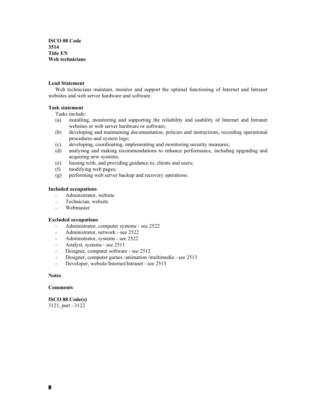**ISCO 08 Code 3514 Title EN Web technicians** 

## **Lead Statement**

 Web technicians maintain, monitor and support the optimal functioning of Internet and Intranet websites and web server hardware and software.

## **Task statement**

Tasks include:

- (a) installing, monitoring and supporting the reliability and usability of Internet and Intranet websites or web server hardware or software;
- (b) developing and maintaining documentation, policies and instructions, recording operational procedures and system logs;
- (c) developing, coordinating, implementing and monitoring security measures;
- (d) analysing and making recommendations to enhance performance, including upgrading and acquiring new systems;
- (e) liaising with, and providing guidance to, clients and users;
- (f) modifying web pages;
- (g) performing web server backup and recovery operations.

# **Included occupations**

- Administrator, website
- Technician, website
- Webmaster

### **Excluded occupations**

- Administrator, computer systems see 2522
- Administrator, network see 2522
- Administrator, systems see 2522
- Analyst, systems see 2511
- Designer, computer software see 2512
- Designer, computer games /animation /multimedia see 2513
- Developer, website/Internet/Intranet see 2513

# **Notes**

### **Comments**

**ISCO 88 Code(s)**  3121, part - 3122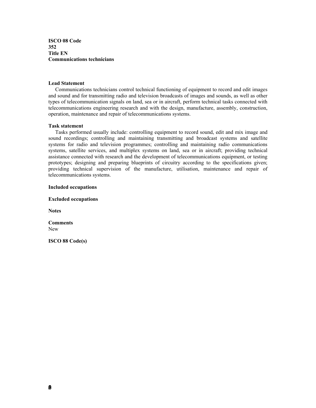**ISCO 08 Code 352 Title EN Communications technicians** 

## **Lead Statement**

 Communications technicians control technical functioning of equipment to record and edit images and sound and for transmitting radio and television broadcasts of images and sounds, as well as other types of telecommunication signals on land, sea or in aircraft, perform technical tasks connected with telecommunications engineering research and with the design, manufacture, assembly, construction, operation, maintenance and repair of telecommunications systems.

### **Task statement**

 Tasks performed usually include: controlling equipment to record sound, edit and mix image and sound recordings; controlling and maintaining transmitting and broadcast systems and satellite systems for radio and television programmes; controlling and maintaining radio communications systems, satellite services, and multiplex systems on land, sea or in aircraft; providing technical assistance connected with research and the development of telecommunications equipment, or testing prototypes; designing and preparing blueprints of circuitry according to the specifications given; providing technical supervision of the manufacture, utilisation, maintenance and repair of telecommunications systems.

### **Included occupations**

**Excluded occupations** 

**Notes** 

**Comments**  New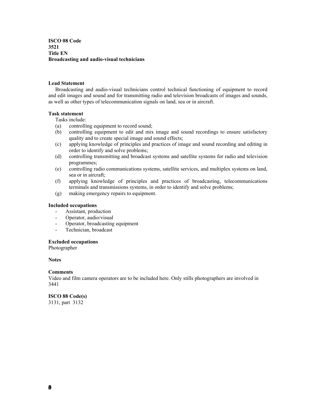**ISCO 08 Code 3521 Title EN Broadcasting and audio-visual technicians** 

## **Lead Statement**

 Broadcasting and audio-visual technicians control technical functioning of equipment to record and edit images and sound and for transmitting radio and television broadcasts of images and sounds, as well as other types of telecommunication signals on land, sea or in aircraft.

# **Task statement**

Tasks include:

- (a) controlling equipment to record sound;
- (b) controlling equipment to edit and mix image and sound recordings to ensure satisfactory quality and to create special image and sound effects;
- (c) applying knowledge of principles and practices of image and sound recording and editing in order to identify and solve problems;
- (d) controlling transmitting and broadcast systems and satellite systems for radio and television programmes;
- (e) controlling radio communications systems, satellite services, and multiplex systems on land, sea or in aircraft;
- (f) applying knowledge of principles and practices of broadcasting, telecommunications terminals and transmissions systems, in order to identify and solve problems;
- (g) making emergency repairs to equipment.

## **Included occupations**

- Assistant, production
- Operator, audio/visual
- Operator, broadcasting equipment
- Technician, broadcast

### **Excluded occupations**

Photographer

### **Notes**

### **Comments**

Video and film camera operators are to be included here. Only stills photographers are involved in 3441

# **ISCO 88 Code(s)**

3131, part 3132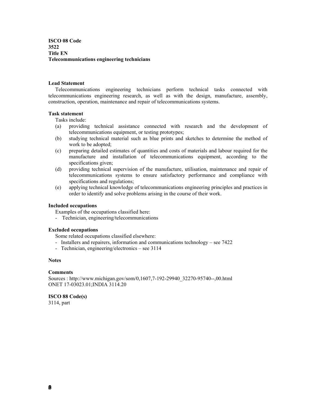**ISCO 08 Code 3522 Title EN Telecommunications engineering technicians** 

## **Lead Statement**

 Telecommunications engineering technicians perform technical tasks connected with telecommunications engineering research, as well as with the design, manufacture, assembly, construction, operation, maintenance and repair of telecommunications systems.

# **Task statement**

Tasks include:

- (a) providing technical assistance connected with research and the development of telecommunications equipment, or testing prototypes;
- (b) studying technical material such as blue prints and sketches to determine the method of work to be adopted;
- (c) preparing detailed estimates of quantities and costs of materials and labour required for the manufacture and installation of telecommunications equipment, according to the specifications given;
- (d) providing technical supervision of the manufacture, utilisation, maintenance and repair of telecommunications systems to ensure satisfactory performance and compliance with specifications and regulations;
- (e) applying technical knowledge of telecommunications engineering principles and practices in order to identify and solve problems arising in the course of their work.

## **Included occupations**

Examples of the occupations classified here:

- Technician, engineering/telecommunications

# **Excluded occupations**

Some related occupations classified elsewhere:

- Installers and repairers, information and communications technology see 7422
- Technician, engineering/electronics see 3114

# **Notes**

### **Comments**

Sources : http://www.michigan.gov/som/0,1607,7-192-29940\_32270-95740--,00.html ONET 17-03023.01;INDIA 3114.20

# **ISCO 88 Code(s)**

3114, part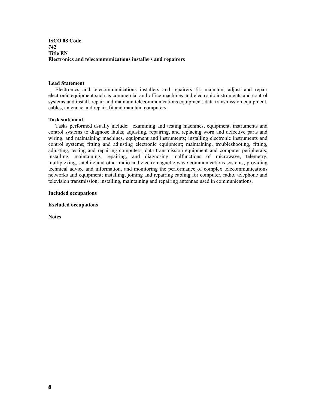**ISCO 08 Code 742 Title EN Electronics and telecommunications installers and repairers** 

## **Lead Statement**

 Electronics and telecommunications installers and repairers fit, maintain, adjust and repair electronic equipment such as commercial and office machines and electronic instruments and control systems and install, repair and maintain telecommunications equipment, data transmission equipment, cables, antennae and repair, fit and maintain computers.

### **Task statement**

 Tasks performed usually include: examining and testing machines, equipment, instruments and control systems to diagnose faults; adjusting, repairing, and replacing worn and defective parts and wiring, and maintaining machines, equipment and instruments; installing electronic instruments and control systems; fitting and adjusting electronic equipment; maintaining, troubleshooting, fitting, adjusting, testing and repairing computers, data transmission equipment and computer peripherals; installing, maintaining, repairing, and diagnosing malfunctions of microwave, telemetry, multiplexing, satellite and other radio and electromagnetic wave communications systems; providing technical advice and information, and monitoring the performance of complex telecommunications networks and equipment; installing, joining and repairing cabling for computer, radio, telephone and television transmission; installing, maintaining and repairing antennae used in communications.

## **Included occupations**

**Excluded occupations** 

**Notes**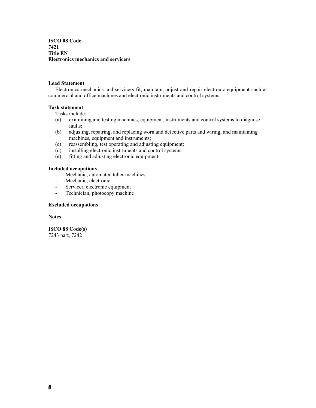**ISCO 08 Code 7421 Title EN Electronics mechanics and servicers** 

# **Lead Statement**

 Electronics mechanics and servicers fit, maintain, adjust and repair electronic equipment such as commercial and office machines and electronic instruments and control systems.

## **Task statement**

Tasks include:

- (a) examining and testing machines, equipment, instruments and control systems to diagnose faults;
- (b) adjusting, repairing, and replacing worn and defective parts and wiring, and maintaining machines, equipment and instruments;
- (c) reassembling, test operating and adjusting equipment;
- (d) installing electronic instruments and control systems;
- (e) fitting and adjusting electronic equipment.

# **Included occupations**

- Mechanic, automated teller machines
- Mechanic, electronic
- Servicer, electronic equipment
- Technician, photocopy machine

# **Excluded occupations**

**Notes** 

**ISCO 88 Code(s)**  7243 part, 7242